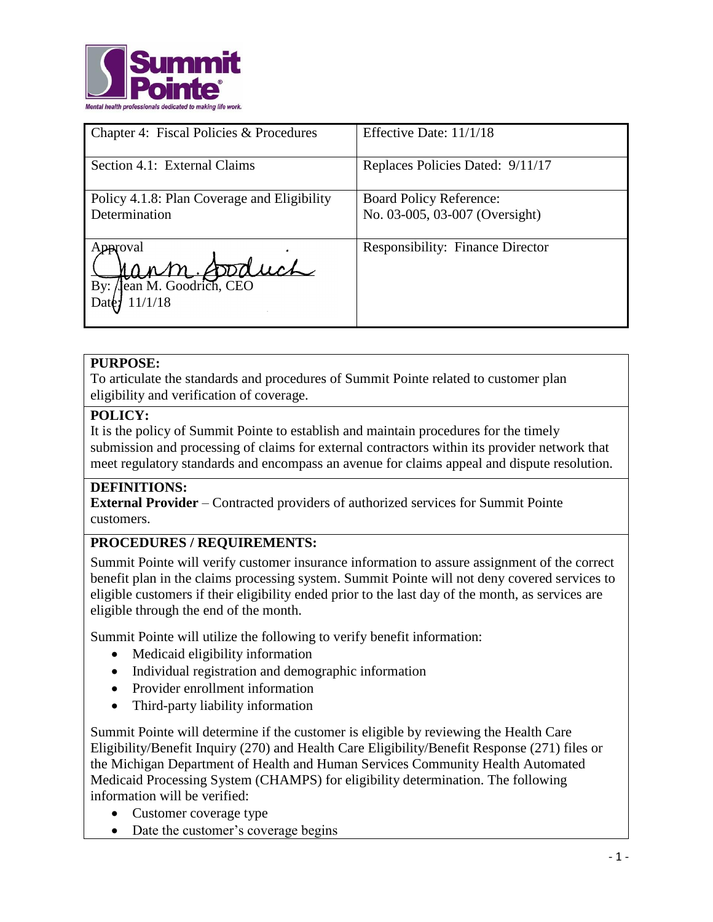

| Chapter 4: Fiscal Policies & Procedures                      | Effective Date: 11/1/18                                          |
|--------------------------------------------------------------|------------------------------------------------------------------|
| Section 4.1: External Claims                                 | Replaces Policies Dated: 9/11/17                                 |
| Policy 4.1.8: Plan Coverage and Eligibility<br>Determination | <b>Board Policy Reference:</b><br>No. 03-005, 03-007 (Oversight) |
| peroval<br>poduch<br>Jean M. Goodrich, CEO<br>By:<br>11/1/18 | <b>Responsibility: Finance Director</b>                          |

## **PURPOSE:**

To articulate the standards and procedures of Summit Pointe related to customer plan eligibility and verification of coverage.

## **POLICY:**

It is the policy of Summit Pointe to establish and maintain procedures for the timely submission and processing of claims for external contractors within its provider network that meet regulatory standards and encompass an avenue for claims appeal and dispute resolution.

#### **DEFINITIONS:**

**External Provider** – Contracted providers of authorized services for Summit Pointe customers.

# **PROCEDURES / REQUIREMENTS:**

Summit Pointe will verify customer insurance information to assure assignment of the correct benefit plan in the claims processing system. Summit Pointe will not deny covered services to eligible customers if their eligibility ended prior to the last day of the month, as services are eligible through the end of the month.

Summit Pointe will utilize the following to verify benefit information:

- Medicaid eligibility information
- Individual registration and demographic information
- Provider enrollment information
- Third-party liability information

Summit Pointe will determine if the customer is eligible by reviewing the Health Care Eligibility/Benefit Inquiry (270) and Health Care Eligibility/Benefit Response (271) files or the Michigan Department of Health and Human Services Community Health Automated Medicaid Processing System (CHAMPS) for eligibility determination. The following information will be verified:

- Customer coverage type
- Date the customer's coverage begins